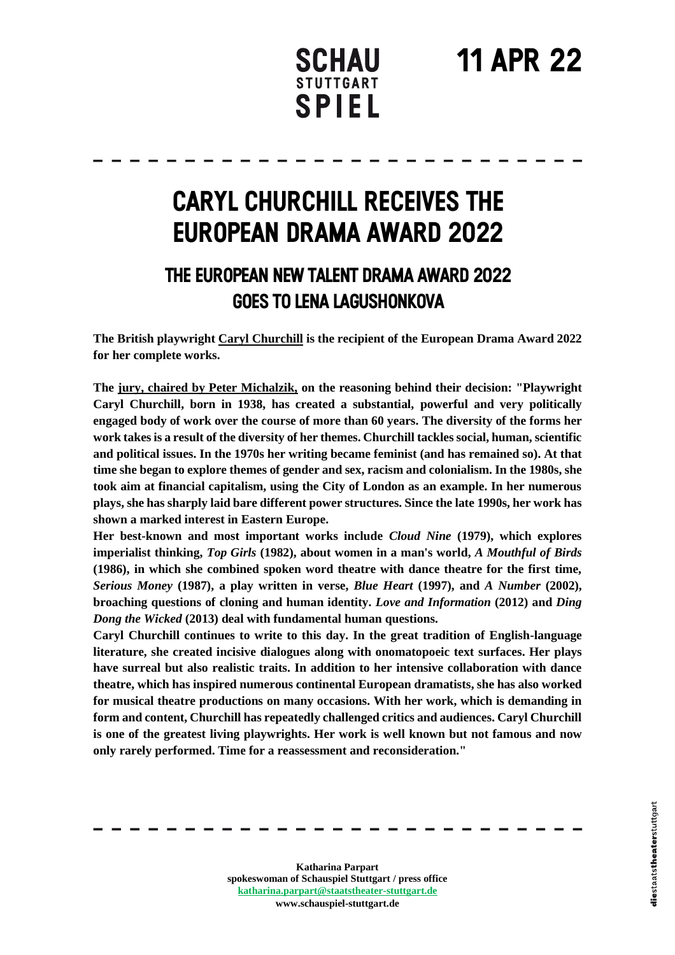## **11 Apr 22**

### **SCHAU STUTTGART SPIEL**

## **Caryl Churchill receives the European Drama Award 2022**

### **The European New Talent Drama Award 2022 goes to Lena Lagushonkova**

**The British playwright Caryl Churchill is the recipient of the European Drama Award 2022 for her complete works.** 

**The jury, chaired by Peter Michalzik, on the reasoning behind their decision: "Playwright Caryl Churchill, born in 1938, has created a substantial, powerful and very politically engaged body of work over the course of more than 60 years. The diversity of the forms her work takes is a result of the diversity of her themes. Churchill tackles social, human, scientific and political issues. In the 1970s her writing became feminist (and has remained so). At that time she began to explore themes of gender and sex, racism and colonialism. In the 1980s, she took aim at financial capitalism, using the City of London as an example. In her numerous plays, she has sharply laid bare different power structures. Since the late 1990s, her work has shown a marked interest in Eastern Europe.**

**Her best-known and most important works include** *Cloud Nine* **(1979), which explores imperialist thinking,** *Top Girls* **(1982), about women in a man's world,** *A Mouthful of Birds*  **(1986), in which she combined spoken word theatre with dance theatre for the first time,**  *Serious Money* **(1987), a play written in verse,** *Blue Heart* **(1997), and** *A Number* **(2002), broaching questions of cloning and human identity.** *Love and Information* **(2012) and** *Ding Dong the Wicked* **(2013) deal with fundamental human questions.** 

**Caryl Churchill continues to write to this day. In the great tradition of English-language literature, she created incisive dialogues along with onomatopoeic text surfaces. Her plays have surreal but also realistic traits. In addition to her intensive collaboration with dance theatre, which has inspired numerous continental European dramatists, she has also worked for musical theatre productions on many occasions. With her work, which is demanding in form and content, Churchill has repeatedly challenged critics and audiences. Caryl Churchill is one of the greatest living playwrights. Her work is well known but not famous and now only rarely performed. Time for a reassessment and reconsideration."**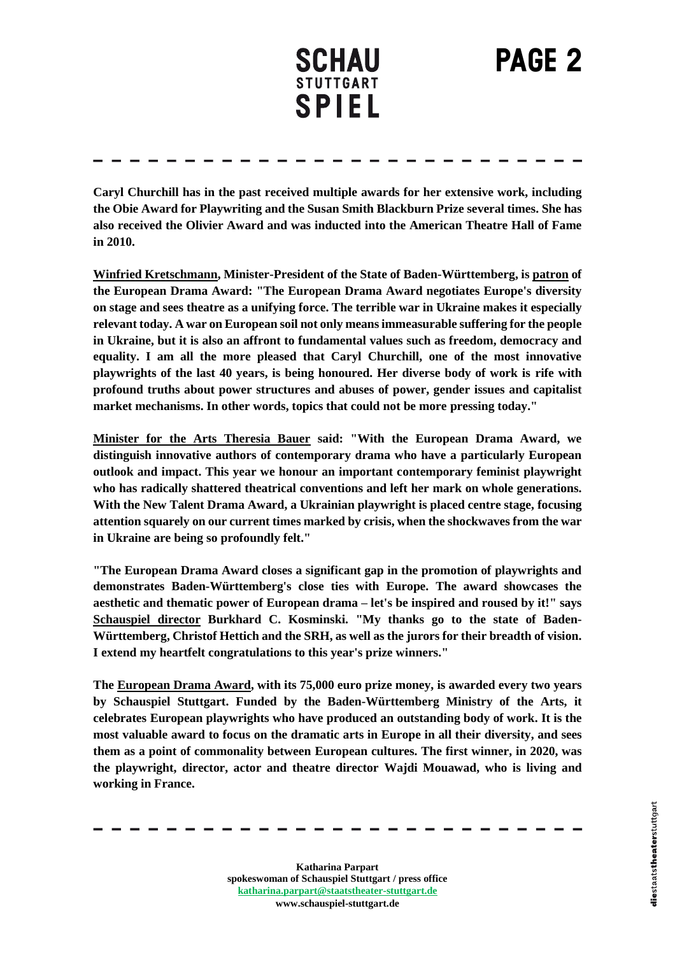# **PAGE 2**

**Caryl Churchill has in the past received multiple awards for her extensive work, including the Obie Award for Playwriting and the Susan Smith Blackburn Prize several times. She has also received the Olivier Award and was inducted into the American Theatre Hall of Fame in 2010.**

**Winfried Kretschmann, Minister-President of the State of Baden-Württemberg, is patron of the European Drama Award: "The European Drama Award negotiates Europe's diversity on stage and sees theatre as a unifying force. The terrible war in Ukraine makes it especially relevant today. A war on European soil not only means immeasurable suffering for the people in Ukraine, but it is also an affront to fundamental values such as freedom, democracy and equality. I am all the more pleased that Caryl Churchill, one of the most innovative playwrights of the last 40 years, is being honoured. Her diverse body of work is rife with profound truths about power structures and abuses of power, gender issues and capitalist market mechanisms. In other words, topics that could not be more pressing today."**

**Minister for the Arts Theresia Bauer said: "With the European Drama Award, we distinguish innovative authors of contemporary drama who have a particularly European outlook and impact. This year we honour an important contemporary feminist playwright who has radically shattered theatrical conventions and left her mark on whole generations. With the New Talent Drama Award, a Ukrainian playwright is placed centre stage, focusing attention squarely on our current times marked by crisis, when the shockwaves from the war in Ukraine are being so profoundly felt."** 

**"The European Drama Award closes a significant gap in the promotion of playwrights and demonstrates Baden-Württemberg's close ties with Europe. The award showcases the aesthetic and thematic power of European drama – let's be inspired and roused by it!" says Schauspiel director Burkhard C. Kosminski. "My thanks go to the state of Baden-Württemberg, Christof Hettich and the SRH, as well as the jurors for their breadth of vision. I extend my heartfelt congratulations to this year's prize winners."**

**The European Drama Award, with its 75,000 euro prize money, is awarded every two years by Schauspiel Stuttgart. Funded by the Baden-Württemberg Ministry of the Arts, it celebrates European playwrights who have produced an outstanding body of work. It is the most valuable award to focus on the dramatic arts in Europe in all their diversity, and sees them as a point of commonality between European cultures. The first winner, in 2020, was the playwright, director, actor and theatre director Wajdi Mouawad, who is living and working in France.**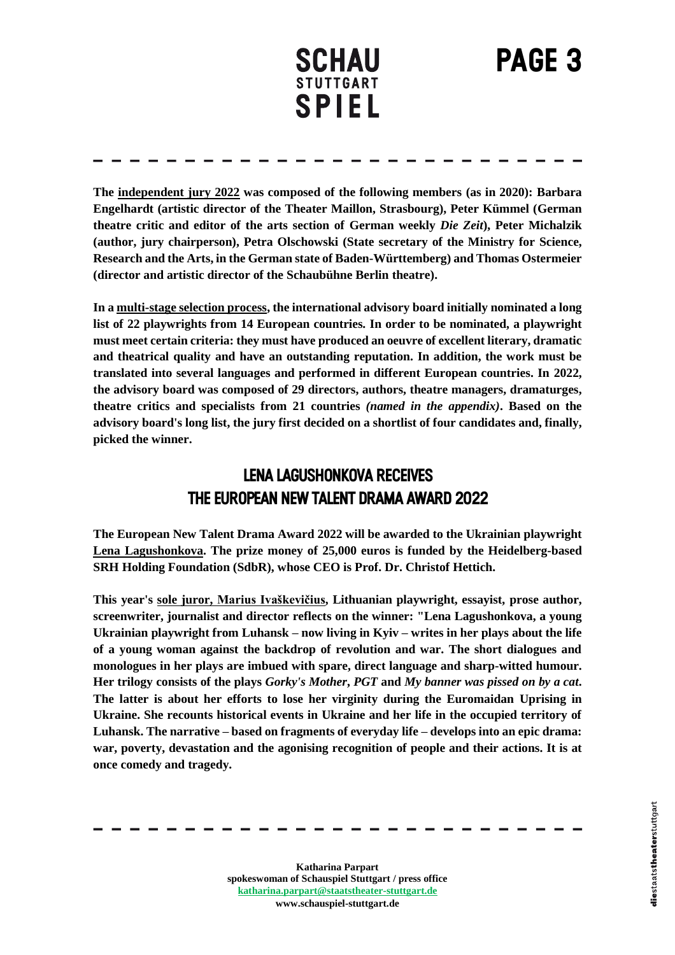## **PAGE 3**

**The independent jury 2022 was composed of the following members (as in 2020): Barbara Engelhardt (artistic director of the Theater Maillon, Strasbourg), Peter Kümmel (German theatre critic and editor of the arts section of German weekly** *Die Zeit***), Peter Michalzik (author, jury chairperson), Petra Olschowski (State secretary of the Ministry for Science, Research and the Arts, in the German state of Baden-Württemberg) and Thomas Ostermeier (director and artistic director of the Schaubühne Berlin theatre).**

**In a multi-stage selection process, the international advisory board initially nominated a long list of 22 playwrights from 14 European countries. In order to be nominated, a playwright must meet certain criteria: they must have produced an oeuvre of excellent literary, dramatic and theatrical quality and have an outstanding reputation. In addition, the work must be translated into several languages and performed in different European countries. In 2022, the advisory board was composed of 29 directors, authors, theatre managers, dramaturges, theatre critics and specialists from 21 countries** *(named in the appendix)***. Based on the advisory board's long list, the jury first decided on a shortlist of four candidates and, finally, picked the winner.**

#### **Lena Lagushonkova receives** THE EUROPEAN NEW TALENT DRAMA AWARD 2022

**The European New Talent Drama Award 2022 will be awarded to the Ukrainian playwright Lena Lagushonkova. The prize money of 25,000 euros is funded by the Heidelberg-based SRH Holding Foundation (SdbR), whose CEO is Prof. Dr. Christof Hettich.** 

**This year's sole juror, Marius Ivaškevičius, Lithuanian playwright, essayist, prose author, screenwriter, journalist and director reflects on the winner: "Lena Lagushonkova, a young Ukrainian playwright from Luhansk – now living in Kyiv – writes in her plays about the life of a young woman against the backdrop of revolution and war. The short dialogues and monologues in her plays are imbued with spare, direct language and sharp-witted humour. Her trilogy consists of the plays** *Gorky's Mother***,** *PGT* **and** *My banner was pissed on by a cat***. The latter is about her efforts to lose her virginity during the Euromaidan Uprising in Ukraine. She recounts historical events in Ukraine and her life in the occupied territory of Luhansk. The narrative – based on fragments of everyday life – develops into an epic drama: war, poverty, devastation and the agonising recognition of people and their actions. It is at once comedy and tragedy.**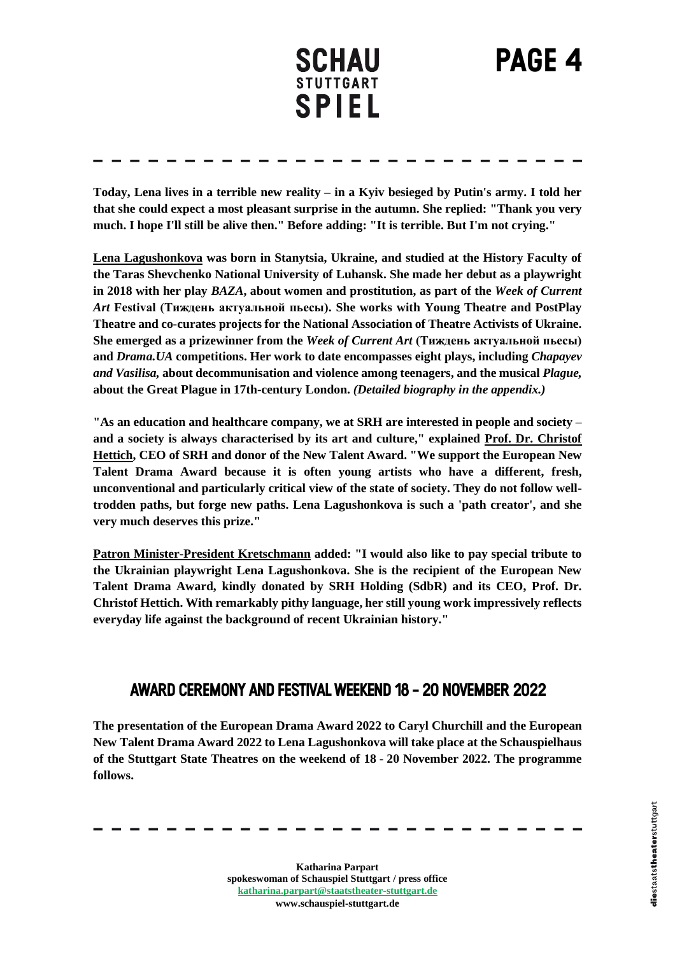## **PAGE 4**

**Today, Lena lives in a terrible new reality – in a Kyiv besieged by Putin's army. I told her that she could expect a most pleasant surprise in the autumn. She replied: "Thank you very much. I hope I'll still be alive then." Before adding: "It is terrible. But I'm not crying."**

**Lena Lagushonkova was born in Stanytsia, Ukraine, and studied at the History Faculty of the Taras Shevchenko National University of Luhansk. She made her debut as a playwright in 2018 with her play** *BAZA***, about women and prostitution, as part of the** *Week of Current Art* **Festival (Тиждень актуальной пьесы). She works with Young Theatre and PostPlay Theatre and co-curates projects for the National Association of Theatre Activists of Ukraine. She emerged as a prizewinner from the** *Week of Current Art* **(Тиждень актуальной пьесы) and** *Drama.UA* **competitions. Her work to date encompasses eight plays, including** *Chapayev and Vasilisa,* **about decommunisation and violence among teenagers, and the musical** *Plague,*  **about the Great Plague in 17th-century London.** *(Detailed biography in the appendix.)*

**"As an education and healthcare company, we at SRH are interested in people and society – and a society is always characterised by its art and culture," explained Prof. Dr. Christof Hettich, CEO of SRH and donor of the New Talent Award. "We support the European New Talent Drama Award because it is often young artists who have a different, fresh, unconventional and particularly critical view of the state of society. They do not follow welltrodden paths, but forge new paths. Lena Lagushonkova is such a 'path creator', and she very much deserves this prize."**

**Patron Minister-President Kretschmann added: "I would also like to pay special tribute to the Ukrainian playwright Lena Lagushonkova. She is the recipient of the European New Talent Drama Award, kindly donated by SRH Holding (SdbR) and its CEO, Prof. Dr. Christof Hettich. With remarkably pithy language, her still young work impressively reflects everyday life against the background of recent Ukrainian history."**

#### **Award Ceremony and Festival Weekend 18-20 November 2022**

**The presentation of the European Drama Award 2022 to Caryl Churchill and the European New Talent Drama Award 2022 to Lena Lagushonkova will take place at the Schauspielhaus of the Stuttgart State Theatres on the weekend of 18 - 20 November 2022. The programme follows.**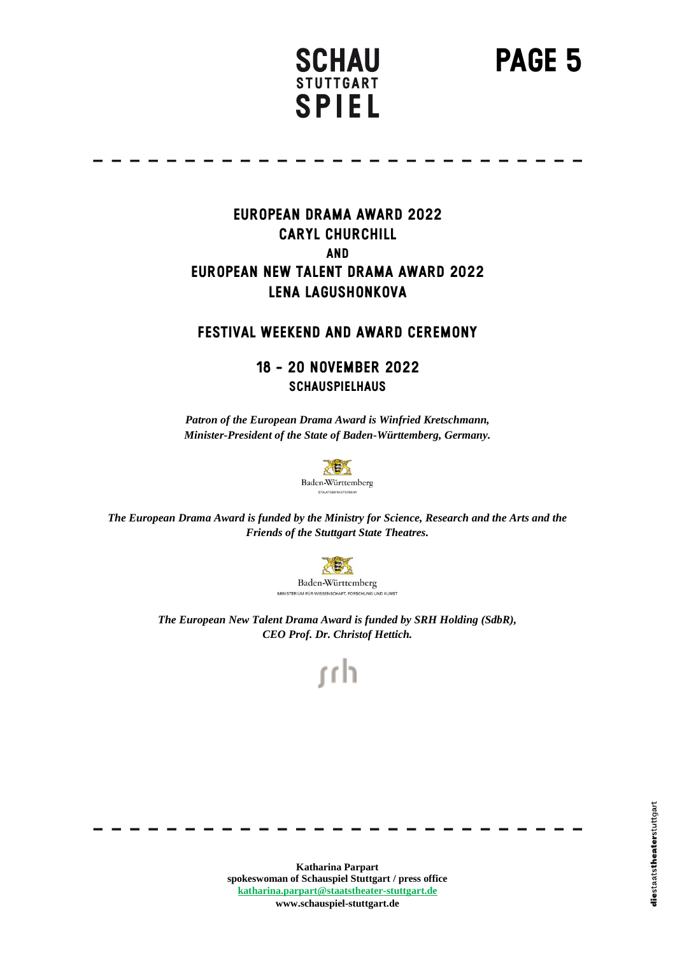**PAGE 5**

#### **European Drama Award 2022 CARYL CHURCHILL and European New Talent Drama Award 2022 Lena Lagushonkova**

#### **Festival Weekend And Award Ceremony**

#### **18 - 20 November 2022 Schauspielhaus**

*Patron of the European Drama Award is Winfried Kretschmann, Minister-President of the State of Baden-Württemberg, Germany.*



*The European Drama Award is funded by the Ministry for Science, Research and the Arts and the Friends of the Stuttgart State Theatres.*



*The European New Talent Drama Award is funded by SRH Holding (SdbR), CEO Prof. Dr. Christof Hettich.*

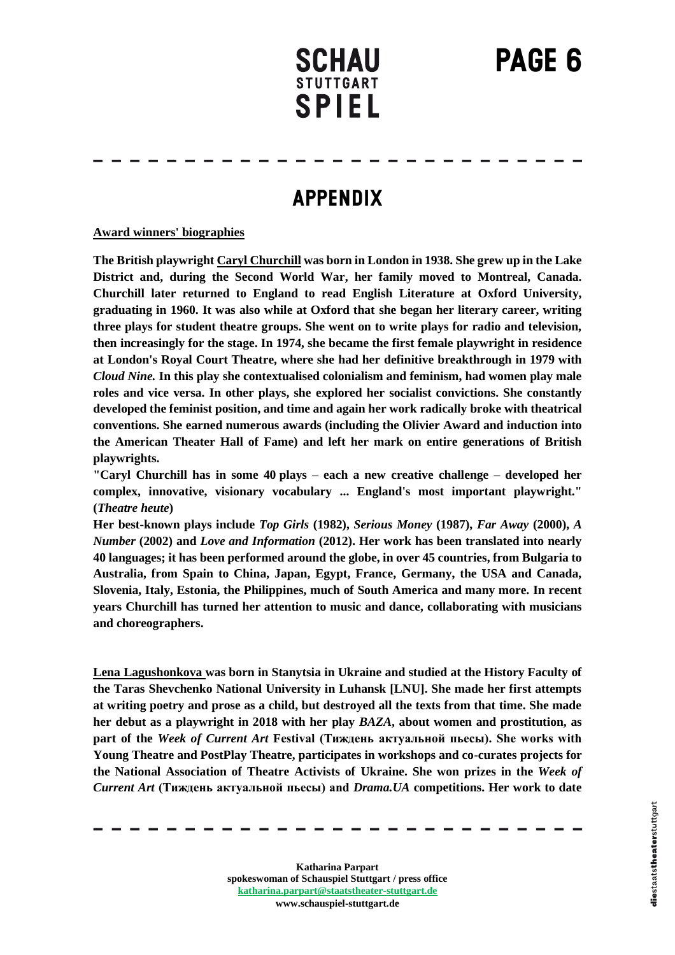# **PAGE 6**



### **APPENDIX**

#### **Award winners' biographies**

**The British playwright Caryl Churchill was born in London in 1938. She grew up in the Lake District and, during the Second World War, her family moved to Montreal, Canada. Churchill later returned to England to read English Literature at Oxford University, graduating in 1960. It was also while at Oxford that she began her literary career, writing three plays for student theatre groups. She went on to write plays for radio and television, then increasingly for the stage. In 1974, she became the first female playwright in residence at London's Royal Court Theatre, where she had her definitive breakthrough in 1979 with**  *Cloud Nine.* **In this play she contextualised colonialism and feminism, had women play male roles and vice versa. In other plays, she explored her socialist convictions. She constantly developed the feminist position, and time and again her work radically broke with theatrical conventions. She earned numerous awards (including the Olivier Award and induction into the American Theater Hall of Fame) and left her mark on entire generations of British playwrights.** 

**"Caryl Churchill has in some 40 plays – each a new creative challenge – developed her complex, innovative, visionary vocabulary ... England's most important playwright." (***Theatre heute***)** 

**Her best-known plays include** *Top Girls* **(1982),** *Serious Money* **(1987),** *Far Away* **(2000),** *A Number* **(2002) and** *Love and Information* **(2012). Her work has been translated into nearly 40 languages; it has been performed around the globe, in over 45 countries, from Bulgaria to Australia, from Spain to China, Japan, Egypt, France, Germany, the USA and Canada, Slovenia, Italy, Estonia, the Philippines, much of South America and many more. In recent years Churchill has turned her attention to music and dance, collaborating with musicians and choreographers.** 

**Lena Lagushonkova was born in Stanytsia in Ukraine and studied at the History Faculty of the Taras Shevchenko National University in Luhansk [LNU]. She made her first attempts at writing poetry and prose as a child, but destroyed all the texts from that time. She made her debut as a playwright in 2018 with her play** *BAZA***, about women and prostitution, as part of the** *Week of Current Art* **Festival (Тиждень актуальной пьесы). She works with Young Theatre and PostPlay Theatre, participates in workshops and co-curates projects for the National Association of Theatre Activists of Ukraine. She won prizes in the** *Week of Current Art* **(Тиждень актуальной пьесы) and** *Drama.UA* **competitions. Her work to date**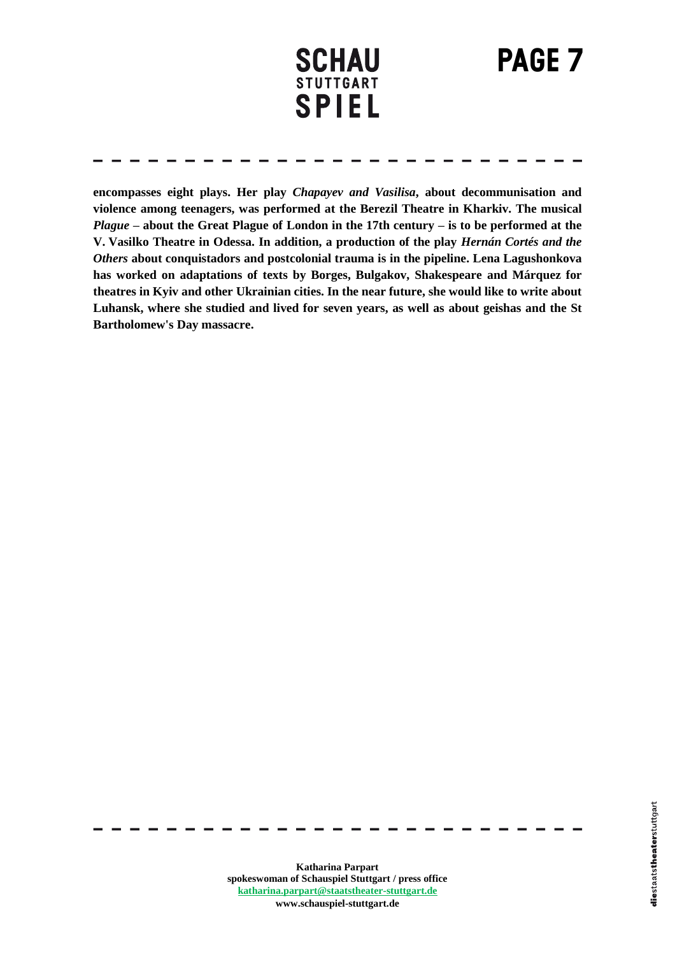**PAGE 7**

**encompasses eight plays. Her play** *Chapayev and Vasilisa***, about decommunisation and violence among teenagers, was performed at the Berezil Theatre in Kharkiv. The musical**  *Plague* **– about the Great Plague of London in the 17th century – is to be performed at the V. Vasilko Theatre in Odessa. In addition, a production of the play** *Hernán Cortés and the Others* **about conquistadors and postcolonial trauma is in the pipeline. Lena Lagushonkova has worked on adaptations of texts by Borges, Bulgakov, Shakespeare and Márquez for theatres in Kyiv and other Ukrainian cities. In the near future, she would like to write about Luhansk, where she studied and lived for seven years, as well as about geishas and the St Bartholomew's Day massacre.**